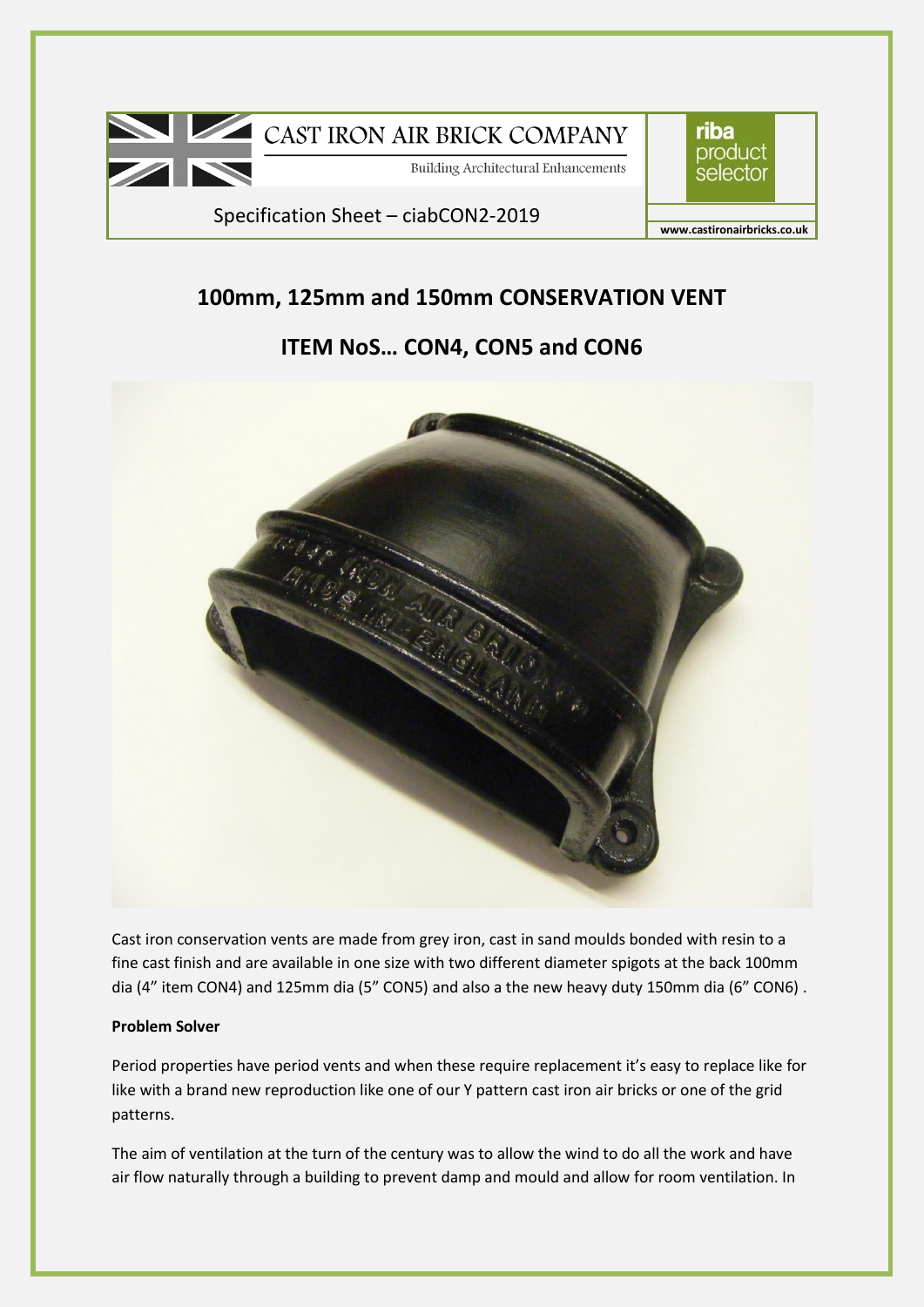

# **100mm, 125mm and 150mm CONSERVATION VENT**

**www.castironairbricks.co.uk**

# **ITEM NoS… CON4, CON5 and CON6**



Cast iron conservation vents are made from grey iron, cast in sand moulds bonded with resin to a fine cast finish and are available in one size with two different diameter spigots at the back 100mm dia (4" item CON4) and 125mm dia (5" CON5) and also a the new heavy duty 150mm dia (6" CON6) .

## **Problem Solver**

Period properties have period vents and when these require replacement it's easy to replace like for like with a brand new reproduction like one of our Y pattern cast iron air bricks or one of the grid patterns.

The aim of ventilation at the turn of the century was to allow the wind to do all the work and have air flow naturally through a building to prevent damp and mould and allow for room ventilation. In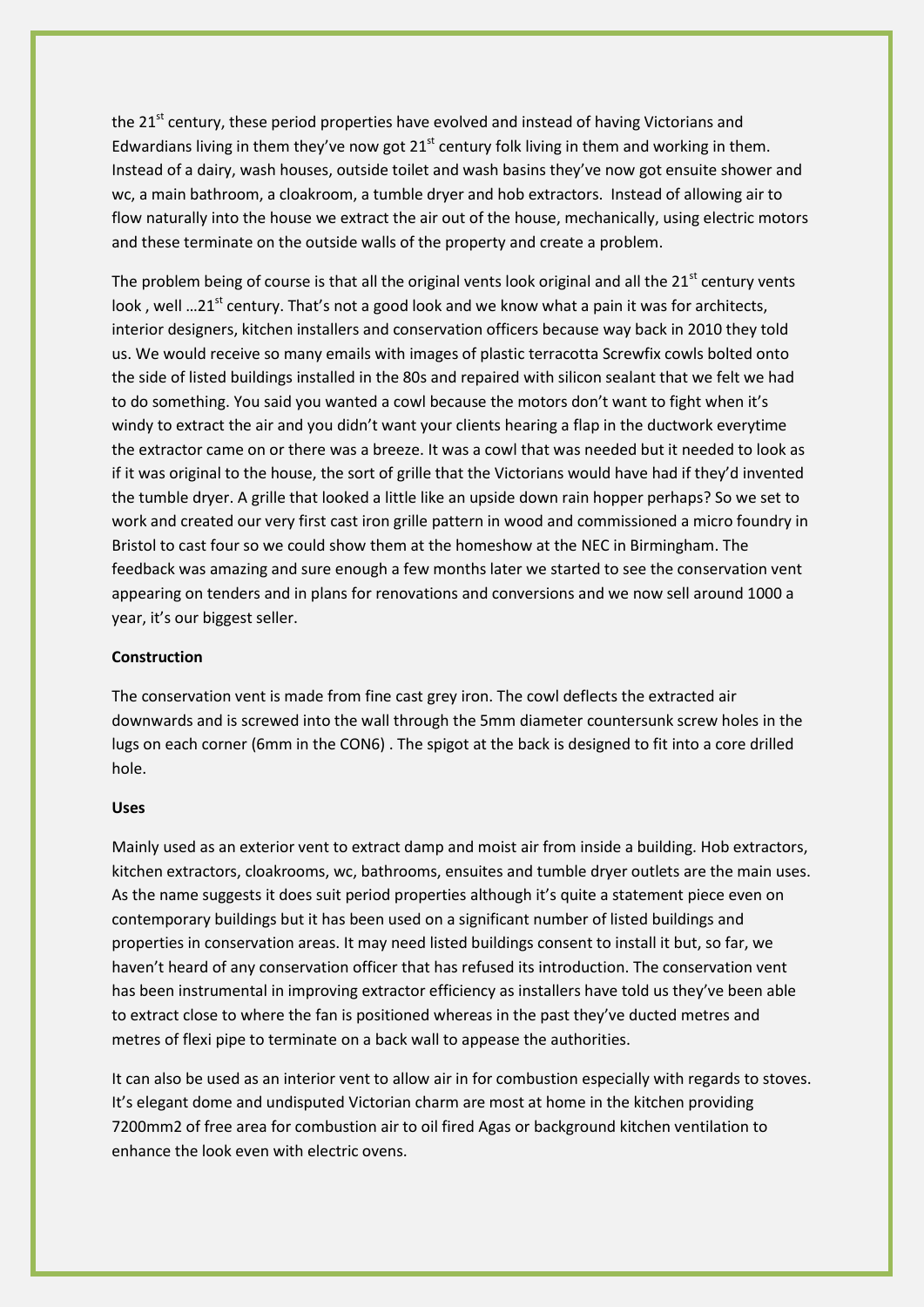the 21<sup>st</sup> century, these period properties have evolved and instead of having Victorians and Edwardians living in them they've now got  $21<sup>st</sup>$  century folk living in them and working in them. Instead of a dairy, wash houses, outside toilet and wash basins they've now got ensuite shower and wc, a main bathroom, a cloakroom, a tumble dryer and hob extractors. Instead of allowing air to flow naturally into the house we extract the air out of the house, mechanically, using electric motors and these terminate on the outside walls of the property and create a problem.

The problem being of course is that all the original vents look original and all the  $21<sup>st</sup>$  century vents look, well  $0.21$ <sup>st</sup> century. That's not a good look and we know what a pain it was for architects, interior designers, kitchen installers and conservation officers because way back in 2010 they told us. We would receive so many emails with images of plastic terracotta Screwfix cowls bolted onto the side of listed buildings installed in the 80s and repaired with silicon sealant that we felt we had to do something. You said you wanted a cowl because the motors don't want to fight when it's windy to extract the air and you didn't want your clients hearing a flap in the ductwork everytime the extractor came on or there was a breeze. It was a cowl that was needed but it needed to look as if it was original to the house, the sort of grille that the Victorians would have had if they'd invented the tumble dryer. A grille that looked a little like an upside down rain hopper perhaps? So we set to work and created our very first cast iron grille pattern in wood and commissioned a micro foundry in Bristol to cast four so we could show them at the homeshow at the NEC in Birmingham. The feedback was amazing and sure enough a few months later we started to see the conservation vent appearing on tenders and in plans for renovations and conversions and we now sell around 1000 a year, it's our biggest seller.

#### **Construction**

The conservation vent is made from fine cast grey iron. The cowl deflects the extracted air downwards and is screwed into the wall through the 5mm diameter countersunk screw holes in the lugs on each corner (6mm in the CON6) . The spigot at the back is designed to fit into a core drilled hole.

#### **Uses**

Mainly used as an exterior vent to extract damp and moist air from inside a building. Hob extractors, kitchen extractors, cloakrooms, wc, bathrooms, ensuites and tumble dryer outlets are the main uses. As the name suggests it does suit period properties although it's quite a statement piece even on contemporary buildings but it has been used on a significant number of listed buildings and properties in conservation areas. It may need listed buildings consent to install it but, so far, we haven't heard of any conservation officer that has refused its introduction. The conservation vent has been instrumental in improving extractor efficiency as installers have told us they've been able to extract close to where the fan is positioned whereas in the past they've ducted metres and metres of flexi pipe to terminate on a back wall to appease the authorities.

It can also be used as an interior vent to allow air in for combustion especially with regards to stoves. It's elegant dome and undisputed Victorian charm are most at home in the kitchen providing 7200mm2 of free area for combustion air to oil fired Agas or background kitchen ventilation to enhance the look even with electric ovens.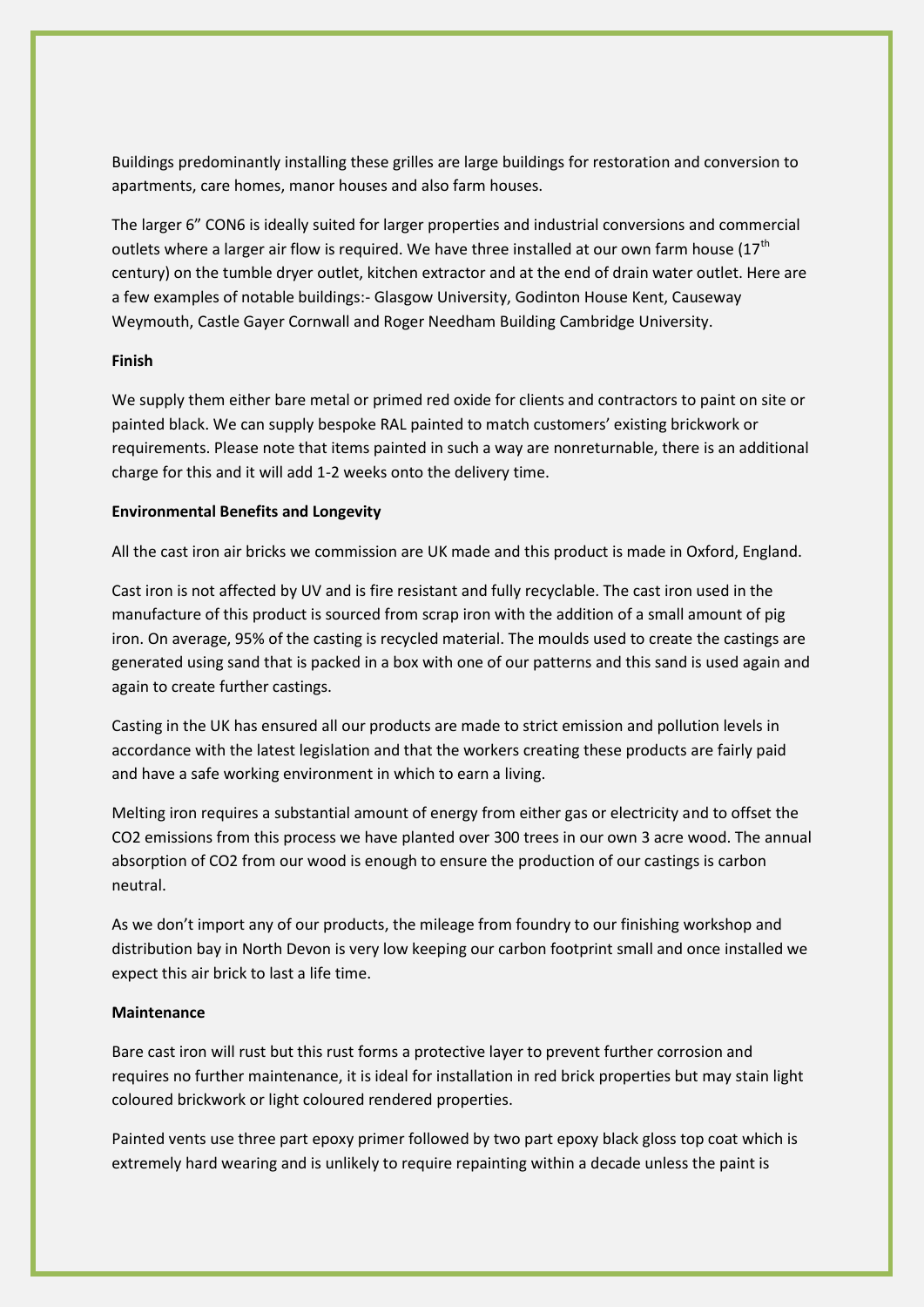Buildings predominantly installing these grilles are large buildings for restoration and conversion to apartments, care homes, manor houses and also farm houses.

The larger 6" CON6 is ideally suited for larger properties and industrial conversions and commercial outlets where a larger air flow is required. We have three installed at our own farm house  $(17<sup>th</sup>$ century) on the tumble dryer outlet, kitchen extractor and at the end of drain water outlet. Here are a few examples of notable buildings:- Glasgow University, Godinton House Kent, Causeway Weymouth, Castle Gayer Cornwall and Roger Needham Building Cambridge University.

### **Finish**

We supply them either bare metal or primed red oxide for clients and contractors to paint on site or painted black. We can supply bespoke RAL painted to match customers' existing brickwork or requirements. Please note that items painted in such a way are nonreturnable, there is an additional charge for this and it will add 1-2 weeks onto the delivery time.

### **Environmental Benefits and Longevity**

All the cast iron air bricks we commission are UK made and this product is made in Oxford, England.

Cast iron is not affected by UV and is fire resistant and fully recyclable. The cast iron used in the manufacture of this product is sourced from scrap iron with the addition of a small amount of pig iron. On average, 95% of the casting is recycled material. The moulds used to create the castings are generated using sand that is packed in a box with one of our patterns and this sand is used again and again to create further castings.

Casting in the UK has ensured all our products are made to strict emission and pollution levels in accordance with the latest legislation and that the workers creating these products are fairly paid and have a safe working environment in which to earn a living.

Melting iron requires a substantial amount of energy from either gas or electricity and to offset the CO2 emissions from this process we have planted over 300 trees in our own 3 acre wood. The annual absorption of CO2 from our wood is enough to ensure the production of our castings is carbon neutral.

As we don't import any of our products, the mileage from foundry to our finishing workshop and distribution bay in North Devon is very low keeping our carbon footprint small and once installed we expect this air brick to last a life time.

#### **Maintenance**

Bare cast iron will rust but this rust forms a protective layer to prevent further corrosion and requires no further maintenance, it is ideal for installation in red brick properties but may stain light coloured brickwork or light coloured rendered properties.

Painted vents use three part epoxy primer followed by two part epoxy black gloss top coat which is extremely hard wearing and is unlikely to require repainting within a decade unless the paint is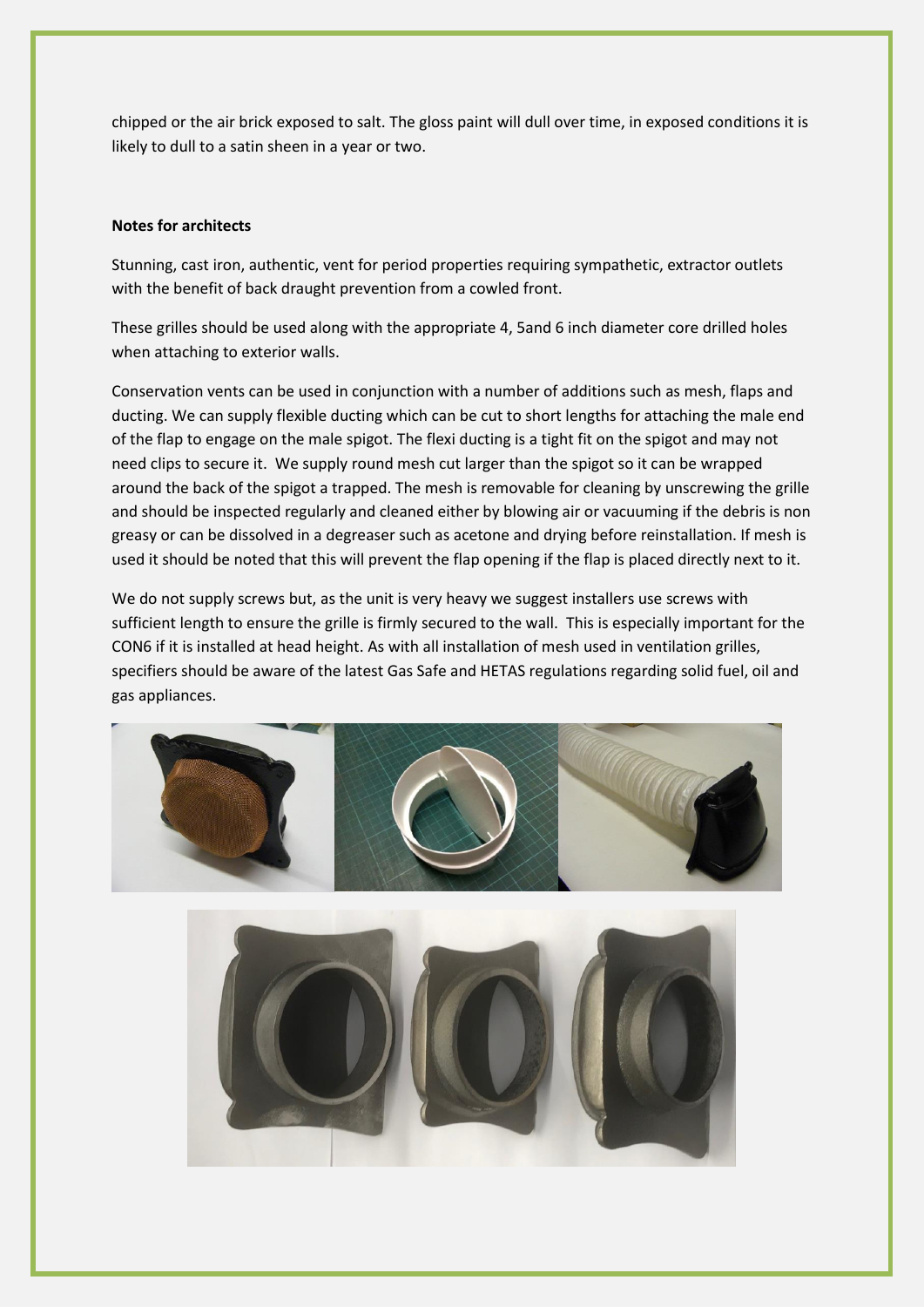chipped or the air brick exposed to salt. The gloss paint will dull over time, in exposed conditions it is likely to dull to a satin sheen in a year or two.

## **Notes for architects**

Stunning, cast iron, authentic, vent for period properties requiring sympathetic, extractor outlets with the benefit of back draught prevention from a cowled front.

These grilles should be used along with the appropriate 4, 5and 6 inch diameter core drilled holes when attaching to exterior walls.

Conservation vents can be used in conjunction with a number of additions such as mesh, flaps and ducting. We can supply flexible ducting which can be cut to short lengths for attaching the male end of the flap to engage on the male spigot. The flexi ducting is a tight fit on the spigot and may not need clips to secure it. We supply round mesh cut larger than the spigot so it can be wrapped around the back of the spigot a trapped. The mesh is removable for cleaning by unscrewing the grille and should be inspected regularly and cleaned either by blowing air or vacuuming if the debris is non greasy or can be dissolved in a degreaser such as acetone and drying before reinstallation. If mesh is used it should be noted that this will prevent the flap opening if the flap is placed directly next to it.

We do not supply screws but, as the unit is very heavy we suggest installers use screws with sufficient length to ensure the grille is firmly secured to the wall. This is especially important for the CON6 if it is installed at head height. As with all installation of mesh used in ventilation grilles, specifiers should be aware of the latest Gas Safe and HETAS regulations regarding solid fuel, oil and gas appliances.

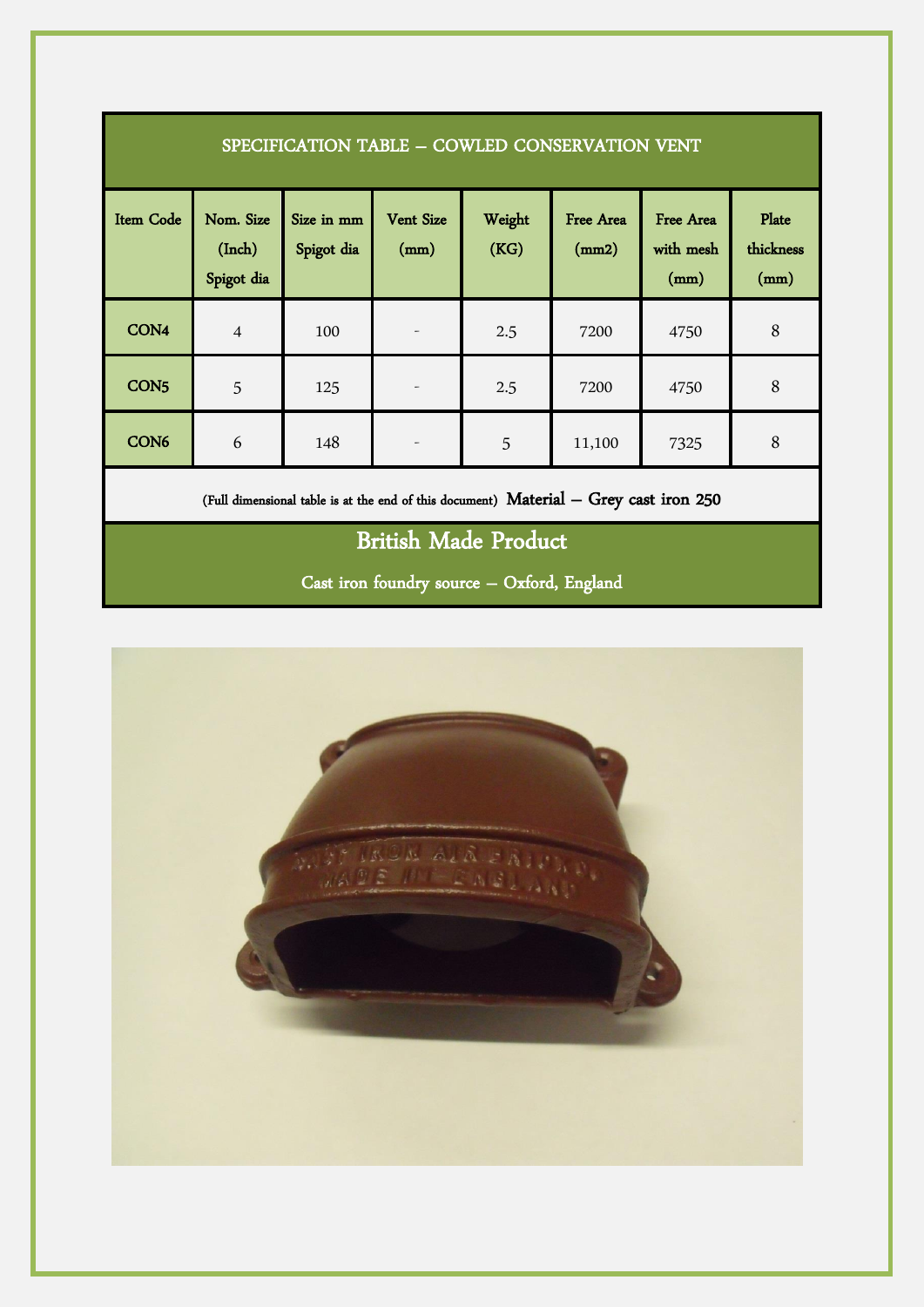| SPECIFICATION TABLE - COWLED CONSERVATION VENT |                                   |                          |                          |                |                    |                                       |                            |  |  |
|------------------------------------------------|-----------------------------------|--------------------------|--------------------------|----------------|--------------------|---------------------------------------|----------------------------|--|--|
| <b>Item Code</b>                               | Nom. Size<br>(Inch)<br>Spigot dia | Size in mm<br>Spigot dia | <b>Vent Size</b><br>(mm) | Weight<br>(KG) | Free Area<br>(mm2) | <b>Free Area</b><br>with mesh<br>(mm) | Plate<br>thickness<br>(mm) |  |  |
| CON <sub>4</sub>                               | $\overline{4}$                    | 100                      |                          | 2.5            | 7200               | 4750                                  | 8                          |  |  |
| CON <sub>5</sub>                               | 5                                 | 125                      | $\overline{\phantom{0}}$ | 2.5            | 7200               | 4750                                  | 8                          |  |  |
| CON <sub>6</sub>                               | 6                                 | 148                      | $\overline{\phantom{m}}$ | 5              | 11,100             | 7325                                  | 8                          |  |  |

(Full dimensional table is at the end of this document) Material – Grey cast iron 250

British Made Product

Cast iron foundry source – Oxford, England

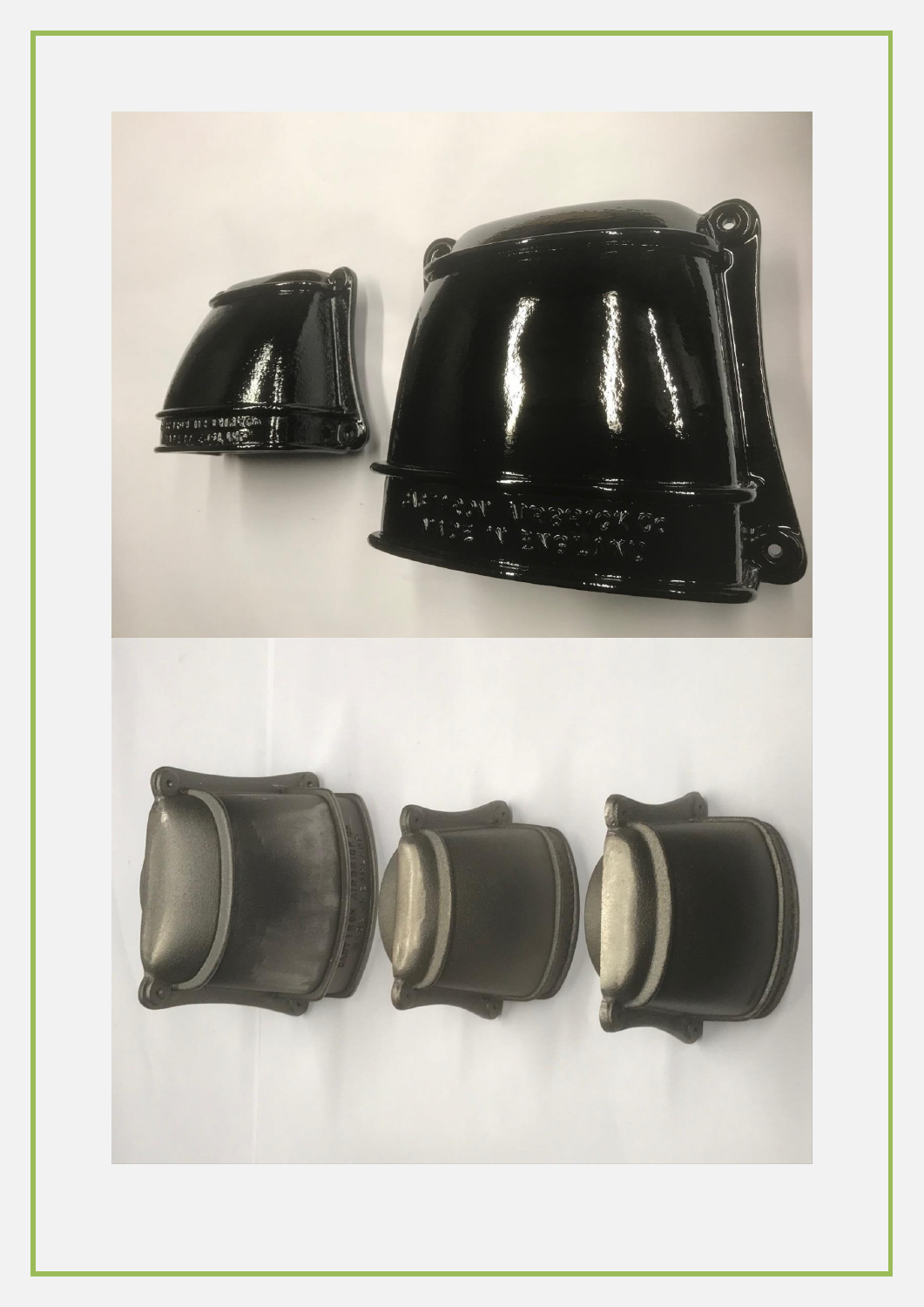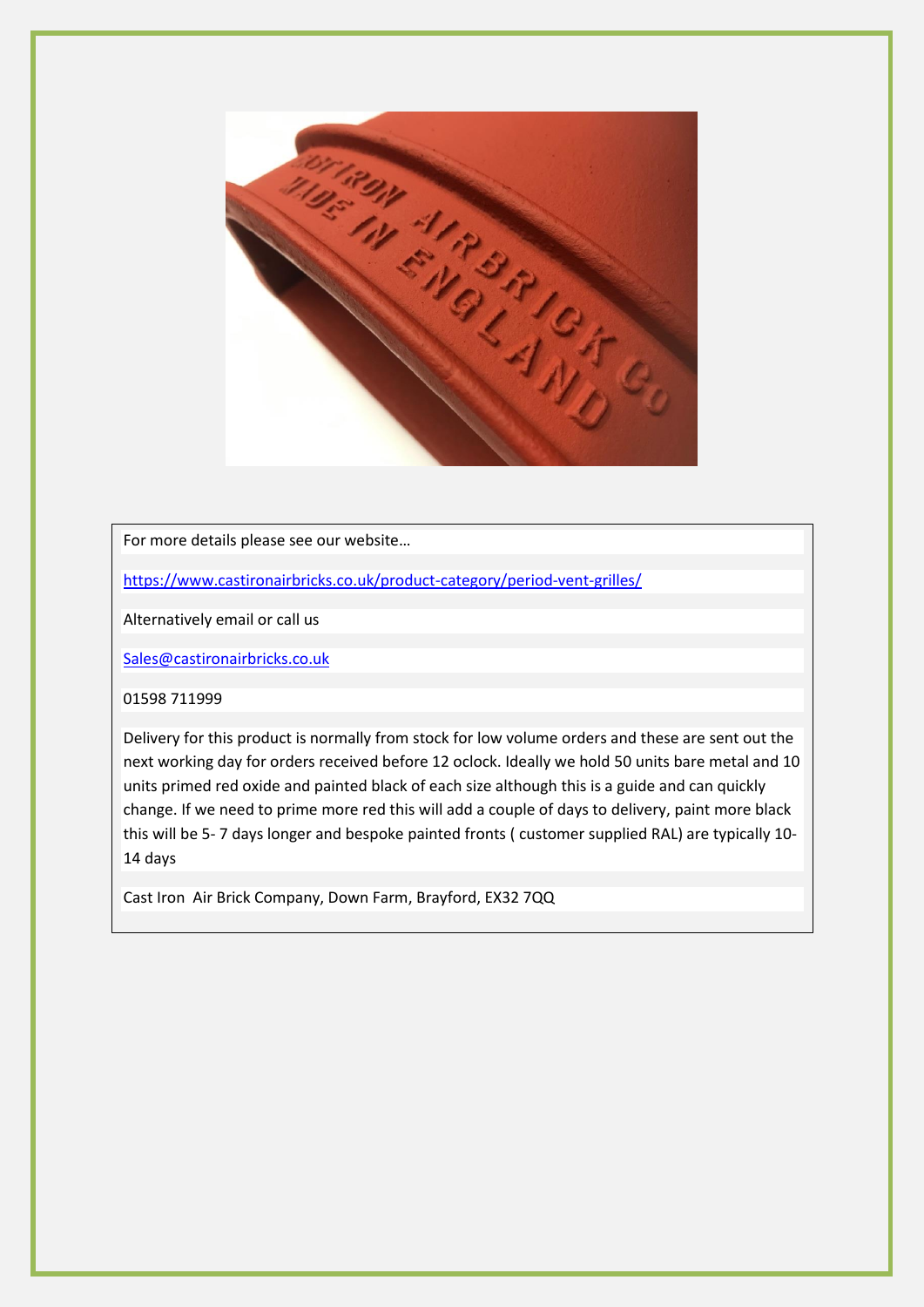

For more details please see our website…

<https://www.castironairbricks.co.uk/product-category/period-vent-grilles/>

Alternatively email or call us

[Sales@castironairbricks.co.uk](mailto:Sales@castironairbricks.co.uk)

01598 711999

Delivery for this product is normally from stock for low volume orders and these are sent out the next working day for orders received before 12 oclock. Ideally we hold 50 units bare metal and 10 units primed red oxide and painted black of each size although this is a guide and can quickly change. If we need to prime more red this will add a couple of days to delivery, paint more black this will be 5- 7 days longer and bespoke painted fronts ( customer supplied RAL) are typically 10- 14 days

Cast Iron Air Brick Company, Down Farm, Brayford, EX32 7QQ